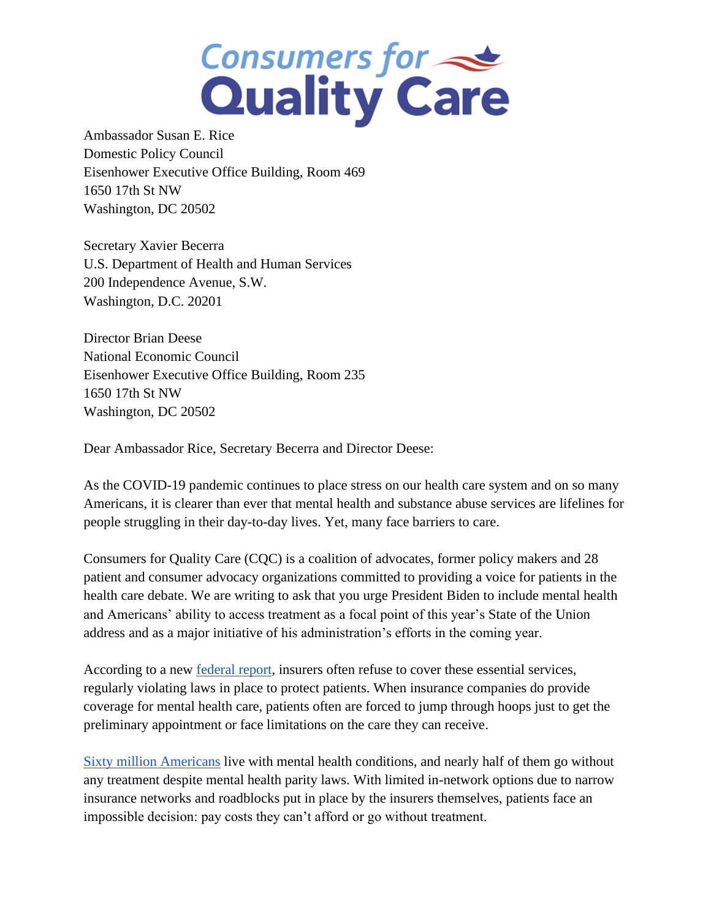## **Consumers for Strate**

Ambassador Susan E. Rice Domestic Policy Council Eisenhower Executive Office Building, Room 469 1650 17th St NW Washington, DC 20502

Secretary Xavier Becerra U.S. Department of Health and Human Services 200 Independence Avenue, S.W. Washington, D.C. 20201

Director Brian Deese National Economic Council Eisenhower Executive Office Building, Room 235 1650 17th St NW Washington, DC 20502

Dear Ambassador Rice, Secretary Becerra and Director Deese:

As the COVID-19 pandemic continues to place stress on our health care system and on so many Americans, it is clearer than ever that mental health and substance abuse services are lifelines for people struggling in their day-to-day lives. Yet, many face barriers to care.

Consumers for Quality Care (CQC) is a coalition of advocates, former policy makers and 28 patient and consumer advocacy organizations committed to providing a voice for patients in the health care debate. We are writing to ask that you urge President Biden to include mental health and Americans' ability to access treatment as a focal point of this year's State of the Union address and as a major initiative of his administration's efforts in the coming year.

According to a new <u>federal report</u>, insurers often refuse to cover these essential services, regularly violating laws in place to protect patients. When insurance companies do provide coverage for mental health care, patients often are forced to jump through hoops just to get the preliminary appointment or face limitations on the care they can receive.

[Sixty million Americans](https://www.nami.org/Support-Education/Publications-Reports/Public-Policy-Reports/The-Doctor-is-Out) live with mental health conditions, and nearly half of them go without any treatment despite mental health parity laws. With limited in-network options due to narrow insurance networks and roadblocks put in place by the insurers themselves, patients face an impossible decision: pay costs they can't afford or go without treatment.